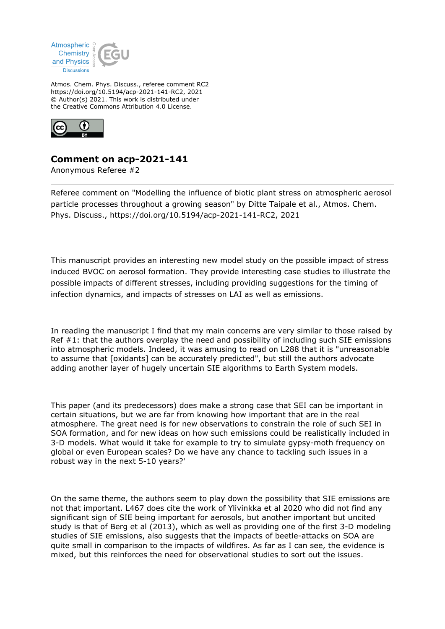

Atmos. Chem. Phys. Discuss., referee comment RC2 https://doi.org/10.5194/acp-2021-141-RC2, 2021 © Author(s) 2021. This work is distributed under the Creative Commons Attribution 4.0 License.



## **Comment on acp-2021-141**

Anonymous Referee #2

Referee comment on "Modelling the influence of biotic plant stress on atmospheric aerosol particle processes throughout a growing season" by Ditte Taipale et al., Atmos. Chem. Phys. Discuss., https://doi.org/10.5194/acp-2021-141-RC2, 2021

This manuscript provides an interesting new model study on the possible impact of stress induced BVOC on aerosol formation. They provide interesting case studies to illustrate the possible impacts of different stresses, including providing suggestions for the timing of infection dynamics, and impacts of stresses on LAI as well as emissions.

In reading the manuscript I find that my main concerns are very similar to those raised by Ref #1: that the authors overplay the need and possibility of including such SIE emissions into atmospheric models. Indeed, it was amusing to read on L288 that it is "unreasonable to assume that [oxidants] can be accurately predicted", but still the authors advocate adding another layer of hugely uncertain SIE algorithms to Earth System models.

This paper (and its predecessors) does make a strong case that SEI can be important in certain situations, but we are far from knowing how important that are in the real atmosphere. The great need is for new observations to constrain the role of such SEI in SOA formation, and for new ideas on how such emissions could be realistically included in 3-D models. What would it take for example to try to simulate gypsy-moth frequency on global or even European scales? Do we have any chance to tackling such issues in a robust way in the next 5-10 years?'

On the same theme, the authors seem to play down the possibility that SIE emissions are not that important. L467 does cite the work of Ylivinkka et al 2020 who did not find any significant sign of SIE being important for aerosols, but another important but uncited study is that of Berg et al (2013), which as well as providing one of the first 3-D modeling studies of SIE emissions, also suggests that the impacts of beetle-attacks on SOA are quite small in comparison to the impacts of wildfires. As far as I can see, the evidence is mixed, but this reinforces the need for observational studies to sort out the issues.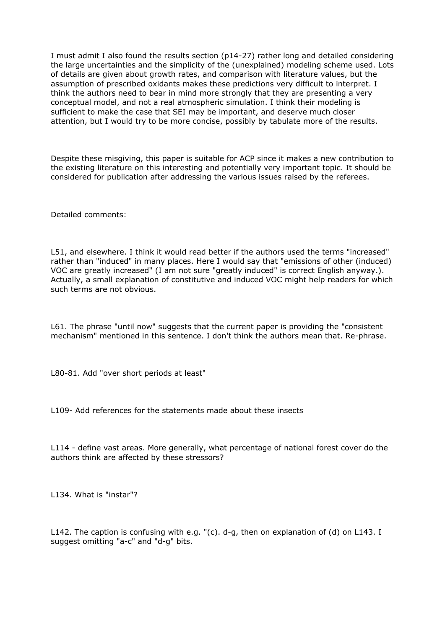I must admit I also found the results section (p14-27) rather long and detailed considering the large uncertainties and the simplicity of the (unexplained) modeling scheme used. Lots of details are given about growth rates, and comparison with literature values, but the assumption of prescribed oxidants makes these predictions very difficult to interpret. I think the authors need to bear in mind more strongly that they are presenting a very conceptual model, and not a real atmospheric simulation. I think their modeling is sufficient to make the case that SEI may be important, and deserve much closer attention, but I would try to be more concise, possibly by tabulate more of the results.

Despite these misgiving, this paper is suitable for ACP since it makes a new contribution to the existing literature on this interesting and potentially very important topic. It should be considered for publication after addressing the various issues raised by the referees.

Detailed comments:

L51, and elsewhere. I think it would read better if the authors used the terms "increased" rather than "induced" in many places. Here I would say that "emissions of other (induced) VOC are greatly increased" (I am not sure "greatly induced" is correct English anyway.). Actually, a small explanation of constitutive and induced VOC might help readers for which such terms are not obvious.

L61. The phrase "until now" suggests that the current paper is providing the "consistent mechanism" mentioned in this sentence. I don't think the authors mean that. Re-phrase.

L80-81. Add "over short periods at least"

L109- Add references for the statements made about these insects

L114 - define vast areas. More generally, what percentage of national forest cover do the authors think are affected by these stressors?

L134. What is "instar"?

L142. The caption is confusing with e.g. "(c). d-g, then on explanation of (d) on L143. I suggest omitting "a-c" and "d-g" bits.